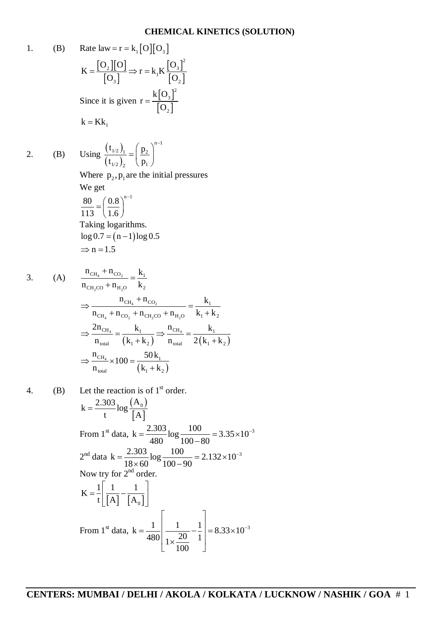## **CHEMICAL KINETICS (SOLUTION)**

1. (B) Rate law =  $r = k_1 [O][O_3]$  $[O_2][O]$  $[O_3]$  $[O_3]$  $[O_2]$ 2  $2$   $\mathbf{I}[\mathbf{U}] = \mathbf{I}_{\mathbf{Z}} \mathbf{I}_{\mathbf{Z}} \mathbf{V}[\mathbf{U}_3]$ 1  $3$   $\begin{bmatrix} 0 \\ 2 \end{bmatrix}$  $O_2 || O ||$   $\frac{1}{2} || \frac{1}{2} || O ||$  $K = \frac{\lfloor \frac{6}{2} \rfloor \lfloor \frac{6}{2} \rfloor}{\lfloor \frac{6}{2} \rfloor} \Rightarrow r = k_1 K$  $\vert 0^{3} \vert$   $\vert 0^{1} \vert$  $=\frac{\Gamma^2 \ln 2}{\Gamma \Omega} \Rightarrow r = k$ Since it is given  $r = \frac{k[O_3]}{[O_3]}$  $[O_2]$ 2 3 2  $k|0$ r O  $=$  $k = Kk_1$ 2. (B) Using  $\frac{(t_{1/2})_1}{(t_{1/2})_1}$  $(\mathfrak{t}_{1\!/2})$  ,  $n-1$  $\frac{1}{2}$   $\frac{1}{2}$   $\frac{1}{2}$  $1/2$   $P_1$  $(t_{1/2})$ <sub>1</sub> ( p  $(t_{1/2})$ ,  $\langle p_1$  $(p_{2})^{n-}$  $=\left(\frac{P_2}{P_1}\right)$ Where  $p_2, p_1$  are the initial pressures We get 80  $(0.8)^{n-1}$ 113  $(1.6)$  $=\left(\frac{0.8}{1.6}\right)^{n-}$ Taking logarithms.  $\log 0.7 = (n - 1) \log 0.5$  $\Rightarrow$  n = 1.5 3. (A)  $\frac{CH_4 \quad CO_2}{\frac{CH_4}{\frac{1}{2}}}$  $2^{\mathbf{U}}$   $\mathbf{n}_2$  $CH_4$ <sup>-1</sup>CO<sub>2</sub>  $-K_1$ CH<sub>2</sub>CO  $\mu$ <sub>H<sub>2</sub>O  $\mu$ <sub>2</sub></sub>  $n_{CH_4} + n_{CO_2}$  k  $n_{\text{CH}_2CO} + n_{\text{H}_2O}$   $k_2$  $^{+}$  $=$  $\ddot{}$ 4 2 4  $\omega_2$   $\omega_1$   $\omega_2$   $\omega$   $\omega_2$  $CH_4$   $^{1}$   $^{11}CO_2$   $^{10}$   $^{10}$   $^{11}$  $CH_4$   $\cdot \text{ } ^{11}CO_2$   $\cdot \text{ } ^{11}CH_2CO$   $\cdot \text{ }^{11}H_2O$   $\cdot \text{ }^{11}$   $\cdot \text{ }^{12}$  $n_{\text{CH}_4} + n_{\text{CO}_2}$  k  $n_{\text{CH}} + n_{\text{CO}_2} + n_{\text{CH-CO}} + n_{\text{H}_2\text{O}}$   $k_1 + k_2$  $\ddot{}$  $\Rightarrow$   $\frac{C_{H_4} C_{O_2}}{C_{H_4} C_{H_2}} = \frac{C_{H_4}}{C_{H_4} C_{H_2}}$  $+n_{\text{CO}_2}+n_{\text{CH}_2\text{CO}}+n_{\text{H}_2\text{O}}$   $k_1 + k$  $(k_1+k_2)$   $n_{\text{total}}$   $2(k_1+k_2)$  $\frac{CH_4}{H_1}$  -  $\frac{K_1}{H_2}$   $\rightarrow$   $\frac{HCH_4}{H_1}$  -  $\frac{K_1}{H_2}$ total  $\left(\begin{array}{ccc} \mathbf{n}_1 & \mathbf{n}_2 \\ \mathbf{n}_2 & \mathbf{n}_3 \end{array}\right)$   $\mathbf{n}_\text{total}$   $\mathbf{n}_1 \cdot \mathbf{n}_2$  $2n_{\text{CH}_4}$   $k_1$   $\ldots$   $n_{\text{CH}_4}$   $k_1$  $n_{\text{total}} = (k_1 + k_2) = n_{\text{total}} = 2(k_1 + k_2)$  $\Rightarrow \frac{CH_4}{(1-1)^2}$   $\Rightarrow \frac{CH_4}{(1-1)^2}$  $+k_2$ )  $n_{\text{total}}$   $2(k_1 + k_2)$  $(k_1+k_2)$  $\frac{CH_4}{100}$  ~ 100 =  $\frac{30 \text{K}_1}{100}$ total  $\begin{bmatrix} \mathbf{n}_1 & \mathbf{n}_2 \end{bmatrix}$  $\frac{n_{\text{CH}_4}}{100} \times 100 = \frac{50 \text{ k}}{100 \text{ k}}$  $n_{\text{total}}$   $(k_1 + k_2)$  $\Rightarrow \frac{CH_4}{=}\times 100 =$  $^{+}$ 4. (B) Let the reaction is of  $1<sup>st</sup>$  order.  $(A_0)$  $[A]$  $k = \frac{2.303}{\log_{10} 6}$ t  $\begin{bmatrix} A \end{bmatrix}$  $=$ From 1<sup>st</sup> data,  $k = \frac{2.303}{100} \log \frac{100}{100 \times 10^{3}} = 3.35 \times 10^{-3}$  $480 \t 100 - 80$  $=\frac{2.505}{100}$  log  $\frac{100}{100}$  = 3.35×10<sup>-1</sup> - $2<sup>nd</sup>$  data  $k = \frac{2.303}{10^{6} \text{ kg}} \cdot \frac{100}{100^{6} \text{ kg}} = 2.132 \times 10^{-3}$  $18 \times 60$   $^{6}$   $100 - 90$  $=\frac{2.505}{10}$  log  $\frac{100}{100}$  = 2.132×10<sup>-1</sup>  $\times 60^{-6} 100 - 9$ Now try for  $2<sup>nd</sup>$  order.  $[A] [A_0]$  $K = \frac{1}{k} \frac{1}{k+1} - \frac{1}{k+1}$ t  $[A]$   $[A]$   $=\frac{1}{t}\left|\frac{1}{\lceil A\rceil}-\frac{1}{\lceil A\rceil}\right|$  $\lfloor [A] \mid [A_0] \rfloor$ From 1<sup>st</sup> data,  $k = \frac{1}{480} \left| \frac{1}{1 \times \frac{20}{100}} - \frac{1}{1} \right| = 8.33 \times 10^{-3}$ 100  $\mathcal{L} = \mathcal{L} \cup \mathcal{L}$  $\begin{vmatrix} 1 & 1 \end{vmatrix}$  $=\frac{1}{480}\left|\frac{1}{20}-\frac{1}{1}\right| = 8.33 \times 1$  $\left| \frac{20}{100} \right|$  $\begin{bmatrix} 100 \end{bmatrix}$ 

-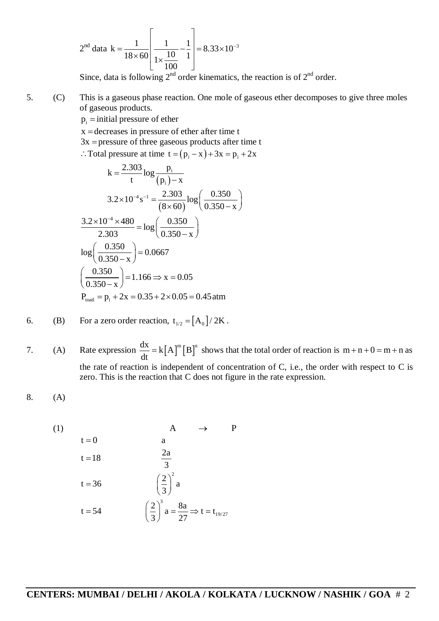$$
2nd data k = \frac{1}{18 \times 60} \left[ \frac{1}{1 \times \frac{10}{100}} - \frac{1}{1} \right] = 8.33 \times 10^{-3}
$$

Since, data is following  $2^{nd}$  order kinematics, the reaction is of  $2^{nd}$  order.

5. (C) This is a gaseous phase reaction. One mole of gaseous ether decomposes to give three moles of gaseous products.

 $p_i$  = initial pressure of ether

 $x =$  decreases in pressure of ether after time t

 $3x$  = pressure of three gaseous products after time t

 $\therefore$  Total pressure at time  $t = (p_i - x) + 3x = p_i + 2x$ 

$$
k = \frac{2.303}{t} \log \frac{p_i}{(p_i) - x}
$$
  
\n
$$
3.2 \times 10^{-4} s^{-1} = \frac{2.303}{(8 \times 60)} \log \left(\frac{0.350}{0.350 - x}\right)
$$
  
\n
$$
\frac{3.2 \times 10^{-4} \times 480}{2.303} = \log \left(\frac{0.350}{0.350 - x}\right)
$$
  
\n
$$
\log \left(\frac{0.350}{0.350 - x}\right) = 0.0667
$$
  
\n
$$
\left(\frac{0.350}{0.350 - x}\right) = 1.166 \Rightarrow x = 0.05
$$
  
\nP<sub>toatl</sub> = p<sub>i</sub> + 2x = 0.35 + 2 × 0.05 = 0.45 atm

6. (B) For a zero order reaction, 
$$
t_{1/2} = [A_0]/2K
$$
.

7. (A) Rate expression  $\frac{dx}{dt} = k[A]^m [B]^n$ dt  $= k |A|^{m} |B|^{n}$  shows that the total order of reaction is  $m + n + 0 = m + n$  as the rate of reaction is independent of concentration of C, i.e., the order with respect to C is zero. This is the reaction that C does not figure in the rate expression.

$$
8. (A)
$$

(1)  
\n
$$
t = 0
$$
 a  
\n $t = 18$   $\frac{2a}{3}$   
\n $t = 36$   $\left(\frac{2}{3}\right)^2 a$   
\n $t = 54$   $\left(\frac{2}{3}\right)^3 a = \frac{8a}{27} \Rightarrow t = t_{19/27}$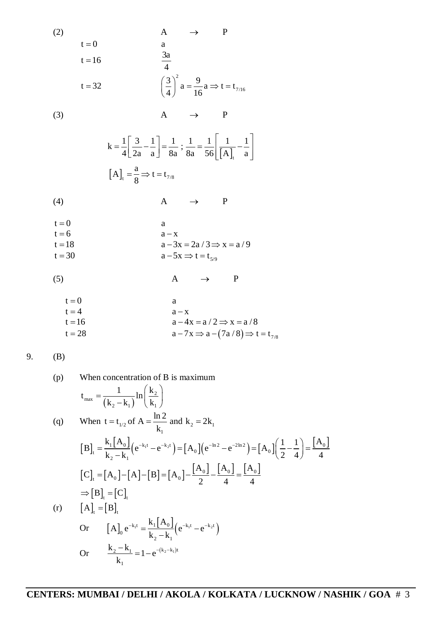(2)  
\n
$$
t = 0
$$
  
\n $t = 16$   
\n $t = 32$   
\n(3)  
\n $A \rightarrow P$   
\n $k = \frac{1}{4} \left[ \frac{3}{2a} - \frac{1}{a} \right] = \frac{1}{8a}; \frac{1}{8a} = \frac{1}{56} \left[ \frac{1}{[A]_t} - \frac{1}{a} \right]$   
\n(A)  
\n $A \rightarrow P$   
\n $k = \frac{1}{4} \left[ \frac{3}{2a} - \frac{1}{a} \right] = \frac{1}{8a}; \frac{1}{8a} = \frac{1}{56} \left[ \frac{1}{[A]_t} - \frac{1}{a} \right]$   
\n(A)  
\n $A \rightarrow P$   
\n $t = 0$   
\n $t = 6$   
\n $t = 18$   
\n $t = 30$   
\n(A)  
\n $a - 3x = 2a/3 \Rightarrow x = a/9$   
\n $a - 5x \Rightarrow t = t_{5/9}$   
\n(A)  
\n $A \rightarrow P$   
\n $t = 0$   
\n $a = -5x \Rightarrow t = t_{5/9}$   
\n(A)  
\n $A \rightarrow P$   
\n $t = 0$   
\n $a = -x$   
\n $a = -x$   
\n $a = -x$   
\n $a = -x$ 

$$
t = 4
$$
  
\n
$$
t = 16
$$
  
\n
$$
t = 28
$$
  
\n
$$
a - 4x = a / 2 \Rightarrow x = a / 8
$$
  
\n
$$
a - 7x \Rightarrow a - (7a / 8) \Rightarrow t = t_{7/8}
$$

 $(B)$ 

(p) When concentration of B is maximum

\n
$$
t_{\max} = \frac{1}{(k_2 - k_1)} \ln\left(\frac{k_2}{k_1}\right)
$$
\n(q) When  $t = t_{1/2}$  of  $A = \frac{\ln 2}{k_1}$  and  $k_2 = 2k_1$ 

\n
$$
\begin{aligned}\n\left[B\right]_t &= \frac{k_1 [A_0]}{k_2 - k_1} \left(e^{-k_1 t} - e^{-k_2 t}\right) = \left[A_0\right] \left(e^{-\ln 2} - e^{-2\ln 2}\right) = \left[A_0\right] \left(\frac{1}{2} - \frac{1}{4}\right) = \frac{[A_0]}{4} \\
\left[C\right]_t &= \left[A_0\right] - \left[A\right] - \left[B\right] = \left[A_0\right] - \frac{[A_0]}{2} - \frac{[A_0]}{4} = \frac{[A_0]}{4} \\
\Rightarrow \left[B\right]_t &= \left[C\right]_t \\
\text{(r)} \qquad \left[A\right]_t &= \left[B\right]_t \\
\text{Or} \qquad \left[A\right]_0 e^{-k_1 t} &= \frac{k_1 [A_0]}{k_2 - k_1} \left(e^{-k_1 t} - e^{-k_2 t}\right) \\
\text{Or} \qquad \frac{k_2 - k_1}{k_1} &= 1 - e^{-(k_2 - k_1)t}\n\end{aligned}
$$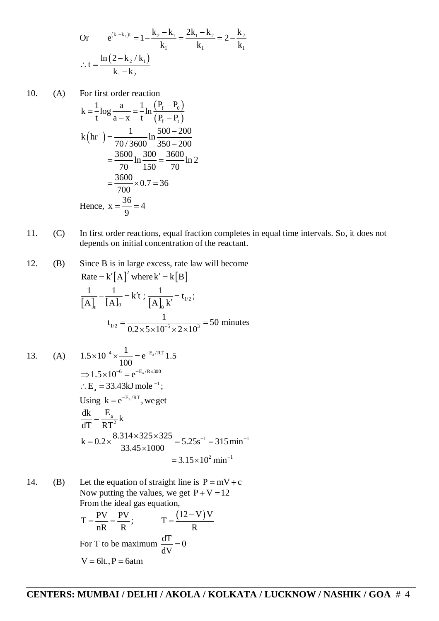Or 
$$
e^{(k_1-k_2)t} = 1 - \frac{k_2 - k_1}{k_1} = \frac{2k_1 - k_2}{k_1} = 2 - \frac{k_2}{k_1}
$$
  
\n $\therefore t = \frac{\ln(2 - k_2 / k_1)}{k_1 - k_2}$ 

10. (A) For first order reaction

$$
k = \frac{1}{t} \log \frac{a}{a - x} = \frac{1}{t} \ln \frac{(P_f - P_o)}{(P_f - P_t)}
$$
  
\n
$$
k \left( \text{hr}^{-} \right) = \frac{1}{70/3600} \ln \frac{500 - 200}{350 - 200}
$$
  
\n
$$
= \frac{3600}{70} \ln \frac{300}{150} = \frac{3600}{70} \ln 2
$$
  
\n
$$
= \frac{3600}{700} \times 0.7 = 36
$$
  
\nHence,  $x = \frac{36}{9} = 4$ 

11. (C) In first order reactions, equal fraction completes in equal time intervals. So, it does not depends on initial concentration of the reactant.

12. (B) Since B is in large excess, rate law will become Rate =  $k'[A]^2$  where  $k' = k[B]$  $[A]_t$   $[A]_0$   $\left[A\right]_0$   $k'$   $\left[1\right]_2$  $\frac{1}{1} - \frac{1}{5 \cdot 1} = k't$ ;  $\frac{1}{5 \cdot 1 + t} = t_v$  $[A]$ ,  $[A]_0$   $[A]_0$   $k'$  $-\frac{1}{5 \cdot 3} = k't$ ;  $\frac{1}{5 \cdot 3 \cdot 3} = t$  $\overline{\phantom{a}}$ ;  $1/2$  0.2  $\leq$   $\sqrt{10^{-5}}$   $\sqrt{2}$   $\sqrt{10^3}$  $t_{1/2} = \frac{1}{0.2 \times 5 \times 10^{-5} \times 2 \times 10^{3}} = 50$  $\times 5\times 10^{-5}\times 2\times 1$ minutes

13. (A) 
$$
1.5 \times 10^{-4} \times \frac{1}{100} = e^{-E_a/RT} 1.5
$$
  
\n $\Rightarrow 1.5 \times 10^{-6} = e^{-E_a/Rx \times 300}$   
\n $\therefore E_a = 33.43 \text{ kJ mole}^{-1};$   
\nUsing  $k = e^{-E_a/RT}$ , we get  
\n
$$
\frac{dk}{dT} = \frac{E_a}{RT^2} k
$$
\n
$$
k = 0.2 \times \frac{8.314 \times 325 \times 325}{33.45 \times 1000} = 5.25 \text{s}^{-1} = 315 \text{ min}^{-1}
$$
\n
$$
= 3.15 \times 10^2 \text{ min}^{-1}
$$

14. (B) Let the equation of straight line is  $P = mV + c$ Now putting the values, we get  $P + V = 12$ From the ideal gas equation,

$$
T = \frac{PV}{nR} = \frac{PV}{R}; \qquad T = \frac{(12 - V)V}{R}
$$
  
For T to be maximum  $\frac{dT}{dV} = 0$   
V = 6lt., P = 6atm